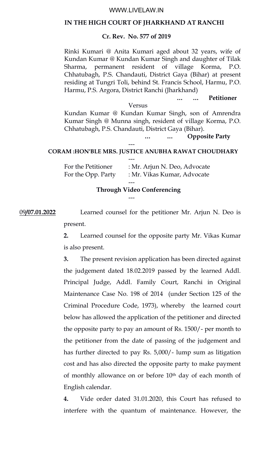### WWW.LIVELAW.IN

#### **IN THE HIGH COURT OF JHARKHAND AT RANCHI**

# **Cr. Rev. No. 577 of 2019**

Rinki Kumari @ Anita Kumari aged about 32 years, wife of Kundan Kumar @ Kundan Kumar Singh and daughter of Tilak Sharma, permanent resident of village Korma, P.O. Chhatubagh, P.S. Chandauti, District Gaya (Bihar) at present residing at Tungri Toli, behind St. Francis School, Harmu, P.O. Harmu, P.S. Argora, District Ranchi (Jharkhand)

**… … Petitioner**

### Versus

Kundan Kumar @ Kundan Kumar Singh, son of Amrendra Kumar Singh @ Munna singh, resident of village Korma, P.O. Chhatubagh, P.S. Chandauti, District Gaya (Bihar).

**… … Opposite Party**

### **CORAM :HON'BLE MRS. JUSTICE ANUBHA RAWAT CHOUDHARY**

| For the Petitioner | : Mr. Arjun N. Deo, Advocate |
|--------------------|------------------------------|
| For the Opp. Party | : Mr. Vikas Kumar, Advocate  |
|                    |                              |

---

### **Through Video Conferencing**

09**/07.01.2022** Learned counsel for the petitioner Mr. Arjun N. Deo is present.

---

**2.** Learned counsel for the opposite party Mr. Vikas Kumar is also present.

**3.** The present revision application has been directed against the judgement dated 18.02.2019 passed by the learned Addl. Principal Judge, Addl. Family Court, Ranchi in Original Maintenance Case No. 198 of 2014 (under Section 125 of the Criminal Procedure Code, 1973), whereby the learned court below has allowed the application of the petitioner and directed the opposite party to pay an amount of Rs. 1500/- per month to the petitioner from the date of passing of the judgement and has further directed to pay Rs. 5,000/- lump sum as litigation cost and has also directed the opposite party to make payment of monthly allowance on or before 10<sup>th</sup> day of each month of English calendar.

**4.** Vide order dated 31.01.2020, this Court has refused to interfere with the quantum of maintenance. However, the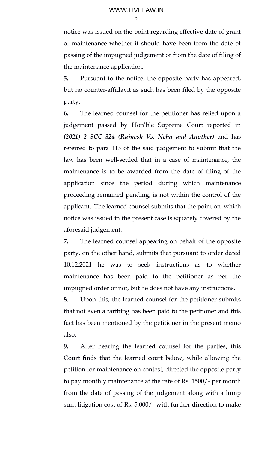2

notice was issued on the point regarding effective date of grant of maintenance whether it should have been from the date of passing of the impugned judgement or from the date of filing of the maintenance application.

**5.** Pursuant to the notice, the opposite party has appeared, but no counter-affidavit as such has been filed by the opposite party.

**6.** The learned counsel for the petitioner has relied upon a judgement passed by Hon'ble Supreme Court reported in *(2021) 2 SCC 324 (Rajnesh Vs. Neha and Another)* and has referred to para 113 of the said judgement to submit that the law has been well-settled that in a case of maintenance, the maintenance is to be awarded from the date of filing of the application since the period during which maintenance proceeding remained pending, is not within the control of the applicant. The learned counsel submits that the point on which notice was issued in the present case is squarely covered by the aforesaid judgement.

**7.** The learned counsel appearing on behalf of the opposite party, on the other hand, submits that pursuant to order dated 10.12.2021 he was to seek instructions as to whether maintenance has been paid to the petitioner as per the impugned order or not, but he does not have any instructions.

**8.** Upon this, the learned counsel for the petitioner submits that not even a farthing has been paid to the petitioner and this fact has been mentioned by the petitioner in the present memo also.

**9.** After hearing the learned counsel for the parties, this Court finds that the learned court below, while allowing the petition for maintenance on contest, directed the opposite party to pay monthly maintenance at the rate of Rs. 1500/- per month from the date of passing of the judgement along with a lump sum litigation cost of Rs. 5,000/- with further direction to make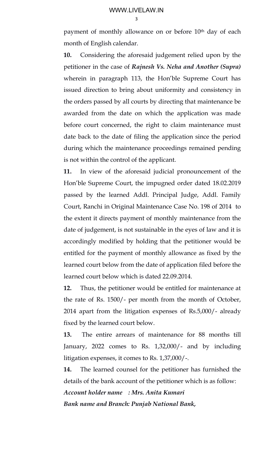3

payment of monthly allowance on or before 10<sup>th</sup> day of each month of English calendar.

**10.** Considering the aforesaid judgement relied upon by the petitioner in the case of *Rajnesh Vs. Neha and Another (Supra)* wherein in paragraph 113, the Hon'ble Supreme Court has issued direction to bring about uniformity and consistency in the orders passed by all courts by directing that maintenance be awarded from the date on which the application was made before court concerned, the right to claim maintenance must date back to the date of filing the application since the period during which the maintenance proceedings remained pending is not within the control of the applicant.

**11.** In view of the aforesaid judicial pronouncement of the Hon'ble Supreme Court, the impugned order dated 18.02.2019 passed by the learned Addl. Principal Judge, Addl. Family Court, Ranchi in Original Maintenance Case No. 198 of 2014 to the extent it directs payment of monthly maintenance from the date of judgement, is not sustainable in the eyes of law and it is accordingly modified by holding that the petitioner would be entitled for the payment of monthly allowance as fixed by the learned court below from the date of application filed before the learned court below which is dated 22.09.2014.

**12.** Thus, the petitioner would be entitled for maintenance at the rate of Rs. 1500/- per month from the month of October, 2014 apart from the litigation expenses of Rs.5,000/- already fixed by the learned court below.

**13.** The entire arrears of maintenance for 88 months till January, 2022 comes to Rs. 1,32,000/- and by including litigation expenses, it comes to Rs. 1,37,000/-.

**14.** The learned counsel for the petitioner has furnished the details of the bank account of the petitioner which is as follow:

*Account holder name : Mrs. Anita Kumari Bank name and Branch: Punjab National Bank,*